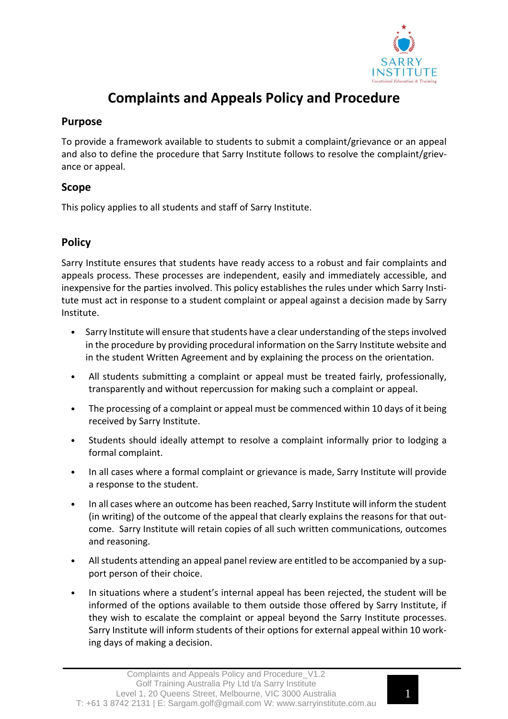

# **Complaints and Appeals Policy and Procedure**

### **Purpose**

To provide a framework available to students to submit a complaint/grievance or an appeal and also to define the procedure that Sarry Institute follows to resolve the complaint/grievance or appeal.

## **Scope**

This policy applies to all students and staff of Sarry Institute.

# **Policy**

Sarry Institute ensures that students have ready access to a robust and fair complaints and appeals process. These processes are independent, easily and immediately accessible, and inexpensive for the parties involved. This policy establishes the rules under which Sarry Institute must act in response to a student complaint or appeal against a decision made by Sarry Institute.

- Sarry Institute will ensure that students have a clear understanding of the steps involved in the procedure by providing procedural information on the Sarry Institute website and in the student Written Agreement and by explaining the process on the orientation.
- All students submitting a complaint or appeal must be treated fairly, professionally, transparently and without repercussion for making such a complaint or appeal.
- The processing of a complaint or appeal must be commenced within 10 days of it being received by Sarry Institute.
- Students should ideally attempt to resolve a complaint informally prior to lodging a formal complaint.
- In all cases where a formal complaint or grievance is made, Sarry Institute will provide a response to the student.
- In all cases where an outcome has been reached, Sarry Institute will inform the student (in writing) of the outcome of the appeal that clearly explains the reasons for that outcome. Sarry Institute will retain copies of all such written communications, outcomes and reasoning.
- All students attending an appeal panel review are entitled to be accompanied by a support person of their choice.
- In situations where a student's internal appeal has been rejected, the student will be informed of the options available to them outside those offered by Sarry Institute, if they wish to escalate the complaint or appeal beyond the Sarry Institute processes. Sarry Institute will inform students of their options for external appeal within 10 working days of making a decision.

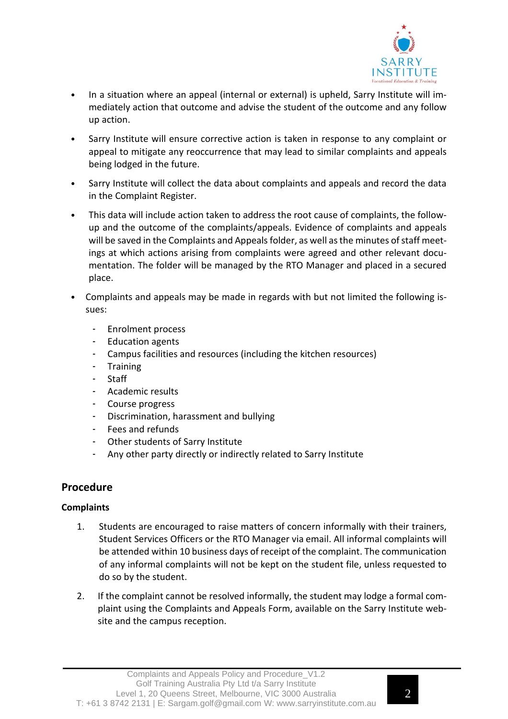

- In a situation where an appeal (internal or external) is upheld, Sarry Institute will immediately action that outcome and advise the student of the outcome and any follow up action.
- Sarry Institute will ensure corrective action is taken in response to any complaint or appeal to mitigate any reoccurrence that may lead to similar complaints and appeals being lodged in the future.
- Sarry Institute will collect the data about complaints and appeals and record the data in the Complaint Register.
- This data will include action taken to address the root cause of complaints, the follow‐ up and the outcome of the complaints/appeals. Evidence of complaints and appeals will be saved in the Complaints and Appeals folder, as well as the minutes of staff meetings at which actions arising from complaints were agreed and other relevant documentation. The folder will be managed by the RTO Manager and placed in a secured place.
- Complaints and appeals may be made in regards with but not limited the following issues:
	- Enrolment process
	- Education agents
	- Campus facilities and resources (including the kitchen resources)
	- Training
	- **Staff**
	- Academic results
	- Course progress
	- Discrimination, harassment and bullying
	- Fees and refunds
	- Other students of Sarry Institute
	- Any other party directly or indirectly related to Sarry Institute

## **Procedure**

### **Complaints**

- 1. Students are encouraged to raise matters of concern informally with their trainers, Student Services Officers or the RTO Manager via email. All informal complaints will be attended within 10 business days of receipt of the complaint. The communication of any informal complaints will not be kept on the student file, unless requested to do so by the student.
- 2. If the complaint cannot be resolved informally, the student may lodge a formal complaint using the Complaints and Appeals Form, available on the Sarry Institute website and the campus reception.

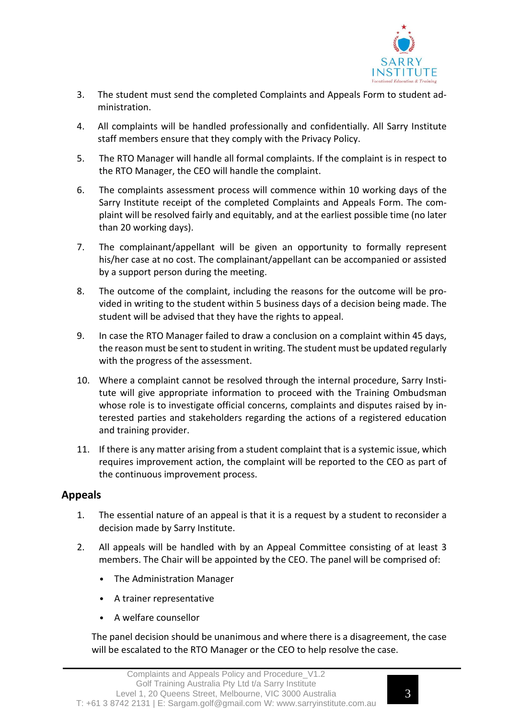

- 3. The student must send the completed Complaints and Appeals Form to student administration.
- 4. All complaints will be handled professionally and confidentially. All Sarry Institute staff members ensure that they comply with the Privacy Policy.
- 5. The RTO Manager will handle all formal complaints. If the complaint is in respect to the RTO Manager, the CEO will handle the complaint.
- 6. The complaints assessment process will commence within 10 working days of the Sarry Institute receipt of the completed Complaints and Appeals Form. The complaint will be resolved fairly and equitably, and at the earliest possible time (no later than 20 working days).
- 7. The complainant/appellant will be given an opportunity to formally represent his/her case at no cost. The complainant/appellant can be accompanied or assisted by a support person during the meeting.
- 8. The outcome of the complaint, including the reasons for the outcome will be provided in writing to the student within 5 business days of a decision being made. The student will be advised that they have the rights to appeal.
- 9. In case the RTO Manager failed to draw a conclusion on a complaint within 45 days, the reason must be sent to student in writing. The student must be updated regularly with the progress of the assessment.
- 10. Where a complaint cannot be resolved through the internal procedure, Sarry Institute will give appropriate information to proceed with the Training Ombudsman whose role is to investigate official concerns, complaints and disputes raised by interested parties and stakeholders regarding the actions of a registered education and training provider.
- 11. If there is any matter arising from a student complaint that is a systemic issue, which requires improvement action, the complaint will be reported to the CEO as part of the continuous improvement process.

### **Appeals**

- 1. The essential nature of an appeal is that it is a request by a student to reconsider a decision made by Sarry Institute.
- 2. All appeals will be handled with by an Appeal Committee consisting of at least 3 members. The Chair will be appointed by the CEO. The panel will be comprised of:
	- The Administration Manager
	- A trainer representative
	- A welfare counsellor

The panel decision should be unanimous and where there is a disagreement, the case will be escalated to the RTO Manager or the CEO to help resolve the case.